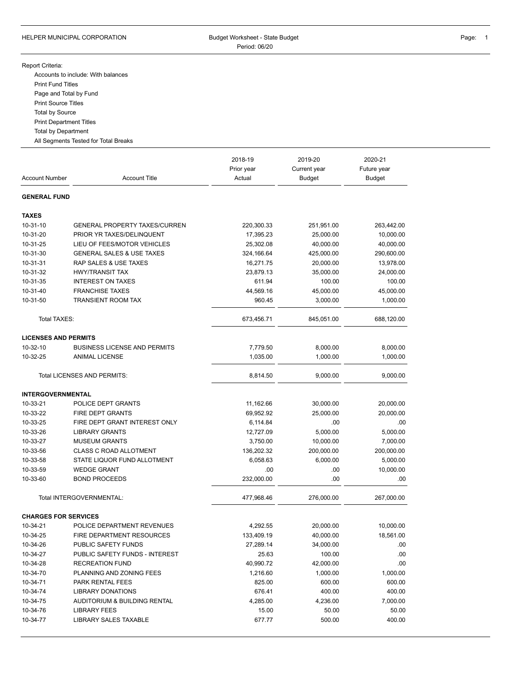## HELPER MUNICIPAL CORPORATION **Budget Worksheet - State Budget** Page: 1 Period: 06/20

## Report Criteria:

Accounts to include: With balances Print Fund Titles Page and Total by Fund Print Source Titles Total by Source Print Department Titles Total by Department

All Segments Tested for Total Breaks

| <b>Account Number</b>       | <b>Account Title</b>                 | 2018-19<br>Prior year<br>Actual | 2019-20<br>Current year<br><b>Budget</b> | 2020-21<br>Future year<br>Budget |
|-----------------------------|--------------------------------------|---------------------------------|------------------------------------------|----------------------------------|
| <b>GENERAL FUND</b>         |                                      |                                 |                                          |                                  |
| <b>TAXES</b>                |                                      |                                 |                                          |                                  |
| 10-31-10                    | <b>GENERAL PROPERTY TAXES/CURREN</b> | 220,300.33                      | 251,951.00                               | 263,442.00                       |
| 10-31-20                    | PRIOR YR TAXES/DELINQUENT            | 17,395.23                       | 25,000.00                                | 10,000.00                        |
| 10-31-25                    | LIEU OF FEES/MOTOR VEHICLES          | 25,302.08                       | 40,000.00                                | 40,000.00                        |
| 10-31-30                    | <b>GENERAL SALES &amp; USE TAXES</b> | 324,166.64                      | 425,000.00                               | 290,600.00                       |
| 10-31-31                    | RAP SALES & USE TAXES                | 16,271.75                       | 20,000.00                                | 13,978.00                        |
| 10-31-32                    | <b>HWY/TRANSIT TAX</b>               | 23,879.13                       | 35,000.00                                | 24,000.00                        |
| 10-31-35                    | <b>INTEREST ON TAXES</b>             | 611.94                          | 100.00                                   | 100.00                           |
| 10-31-40                    | <b>FRANCHISE TAXES</b>               | 44,569.16                       | 45,000.00                                | 45,000.00                        |
| 10-31-50                    | <b>TRANSIENT ROOM TAX</b>            | 960.45                          | 3,000.00                                 | 1,000.00                         |
| Total TAXES:                |                                      | 673,456.71                      | 845,051.00                               | 688,120.00                       |
| <b>LICENSES AND PERMITS</b> |                                      |                                 |                                          |                                  |
| 10-32-10                    | <b>BUSINESS LICENSE AND PERMITS</b>  | 7,779.50                        | 8,000.00                                 | 8,000.00                         |
| 10-32-25                    | <b>ANIMAL LICENSE</b>                | 1,035.00                        | 1,000.00                                 | 1,000.00                         |
|                             | Total LICENSES AND PERMITS:          | 8,814.50                        | 9,000.00                                 | 9,000.00                         |
| <b>INTERGOVERNMENTAL</b>    |                                      |                                 |                                          |                                  |
| 10-33-21                    | POLICE DEPT GRANTS                   | 11,162.66                       | 30,000.00                                | 20,000.00                        |
| 10-33-22                    | FIRE DEPT GRANTS                     | 69,952.92                       | 25,000.00                                | 20,000.00                        |
| 10-33-25                    | FIRE DEPT GRANT INTEREST ONLY        | 6,114.84                        | .00                                      | .00                              |
| 10-33-26                    | <b>LIBRARY GRANTS</b>                | 12,727.09                       | 5,000.00                                 | 5,000.00                         |
| 10-33-27                    | <b>MUSEUM GRANTS</b>                 | 3,750.00                        | 10,000.00                                | 7,000.00                         |
| 10-33-56                    | <b>CLASS C ROAD ALLOTMENT</b>        | 136,202.32                      | 200,000.00                               | 200,000.00                       |
| 10-33-58                    | STATE LIQUOR FUND ALLOTMENT          | 6,058.63                        | 6,000.00                                 | 5,000.00                         |
| 10-33-59                    | <b>WEDGE GRANT</b>                   | .00                             | .00                                      | 10,000.00                        |
| 10-33-60                    | <b>BOND PROCEEDS</b>                 | 232,000.00                      | .00                                      | .00                              |
|                             | Total INTERGOVERNMENTAL:             | 477,968.46                      | 276,000.00                               | 267,000.00                       |
| <b>CHARGES FOR SERVICES</b> |                                      |                                 |                                          |                                  |
| 10-34-21                    | POLICE DEPARTMENT REVENUES           | 4,292.55                        | 20,000.00                                | 10,000.00                        |
| 10-34-25                    | FIRE DEPARTMENT RESOURCES            | 133,409.19                      | 40,000.00                                | 18,561.00                        |
| 10-34-26                    | PUBLIC SAFETY FUNDS                  | 27,289.14                       | 34,000.00                                | .00                              |
| 10-34-27                    | PUBLIC SAFETY FUNDS - INTEREST       | 25.63                           | 100.00                                   | .00                              |
| 10-34-28                    | <b>RECREATION FUND</b>               | 40,990.72                       | 42,000.00                                | .00                              |
| 10-34-70                    | PLANNING AND ZONING FEES             | 1,216.60                        | 1,000.00                                 | 1,000.00                         |
| 10-34-71                    | PARK RENTAL FEES                     | 825.00                          | 600.00                                   | 600.00                           |
| 10-34-74                    | <b>LIBRARY DONATIONS</b>             | 676.41                          | 400.00                                   | 400.00                           |
| 10-34-75                    | AUDITORIUM & BUILDING RENTAL         | 4,285.00                        | 4,236.00                                 | 7,000.00                         |
| 10-34-76                    | <b>LIBRARY FEES</b>                  | 15.00                           | 50.00                                    | 50.00                            |
| 10-34-77                    | <b>LIBRARY SALES TAXABLE</b>         | 677.77                          | 500.00                                   | 400.00                           |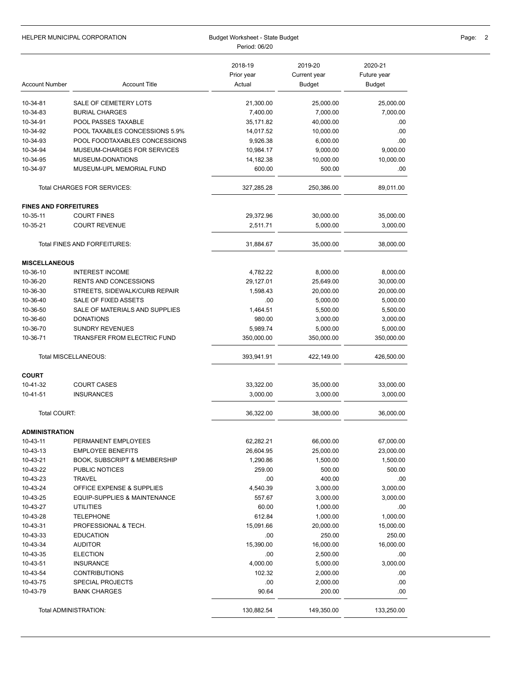|                              | <b>HELPER MUNICIPAL CORPORATION</b>     | Budget Worksheet - State Budget<br>Period: 06/20 |                                          |                                  | Page:<br>-2 |
|------------------------------|-----------------------------------------|--------------------------------------------------|------------------------------------------|----------------------------------|-------------|
| <b>Account Number</b>        | <b>Account Title</b>                    | 2018-19<br>Prior year<br>Actual                  | 2019-20<br>Current year<br><b>Budget</b> | 2020-21<br>Future year<br>Budget |             |
| 10-34-81                     | SALE OF CEMETERY LOTS                   | 21,300.00                                        | 25,000.00                                | 25,000.00                        |             |
| 10-34-83                     | <b>BURIAL CHARGES</b>                   | 7,400.00                                         | 7,000.00                                 | 7,000.00                         |             |
| 10-34-91                     | POOL PASSES TAXABLE                     | 35,171.82                                        | 40,000.00                                | .00                              |             |
| 10-34-92                     | POOL TAXABLES CONCESSIONS 5.9%          | 14,017.52                                        | 10,000.00                                | .00                              |             |
| 10-34-93                     | POOL FOODTAXABLES CONCESSIONS           | 9,926.38                                         | 6,000.00                                 | .00                              |             |
| 10-34-94                     | MUSEUM-CHARGES FOR SERVICES             | 10,984.17                                        | 9,000.00                                 | 9,000.00                         |             |
| 10-34-95                     | MUSEUM-DONATIONS                        | 14,182.38                                        | 10,000.00                                | 10,000.00                        |             |
| 10-34-97                     | MUSEUM-UPL MEMORIAL FUND                | 600.00                                           | 500.00                                   | .00                              |             |
|                              | Total CHARGES FOR SERVICES:             | 327,285.28                                       | 250,386.00                               | 89,011.00                        |             |
| <b>FINES AND FORFEITURES</b> |                                         |                                                  |                                          |                                  |             |
| 10-35-11                     | <b>COURT FINES</b>                      | 29,372.96                                        | 30,000.00                                | 35,000.00                        |             |
| 10-35-21                     | <b>COURT REVENUE</b>                    | 2,511.71                                         | 5,000.00                                 | 3,000.00                         |             |
|                              | Total FINES AND FORFEITURES:            | 31,884.67                                        | 35,000.00                                | 38,000.00                        |             |
| <b>MISCELLANEOUS</b>         |                                         |                                                  |                                          |                                  |             |
| 10-36-10                     | <b>INTEREST INCOME</b>                  | 4,782.22                                         | 8,000.00                                 | 8,000.00                         |             |
| 10-36-20                     | <b>RENTS AND CONCESSIONS</b>            | 29,127.01                                        | 25,649.00                                | 30,000.00                        |             |
| 10-36-30                     | STREETS, SIDEWALK/CURB REPAIR           | 1,598.43                                         | 20,000.00                                | 20,000.00                        |             |
| 10-36-40                     | SALE OF FIXED ASSETS                    | .00                                              | 5,000.00                                 | 5,000.00                         |             |
| 10-36-50                     | SALE OF MATERIALS AND SUPPLIES          | 1,464.51                                         | 5,500.00                                 | 5,500.00                         |             |
| 10-36-60                     | <b>DONATIONS</b>                        | 980.00                                           | 3,000.00                                 | 3,000.00                         |             |
| 10-36-70                     | <b>SUNDRY REVENUES</b>                  | 5,989.74                                         | 5,000.00                                 | 5,000.00                         |             |
| 10-36-71                     | TRANSFER FROM ELECTRIC FUND             | 350,000.00                                       | 350,000.00                               | 350,000.00                       |             |
|                              | Total MISCELLANEOUS:                    | 393,941.91                                       | 422,149.00                               | 426,500.00                       |             |
| <b>COURT</b>                 |                                         |                                                  |                                          |                                  |             |
| 10-41-32                     | <b>COURT CASES</b>                      | 33,322.00                                        | 35,000.00                                | 33,000.00                        |             |
| 10-41-51                     | <b>INSURANCES</b>                       | 3,000.00                                         | 3,000.00                                 | 3,000.00                         |             |
| Total COURT:                 |                                         | 36,322.00                                        | 38,000.00                                | 36,000.00                        |             |
| <b>ADMINISTRATION</b>        |                                         |                                                  |                                          |                                  |             |
| 10-43-11                     | PERMANENT EMPLOYEES                     | 62,282.21                                        | 66,000.00                                | 67,000.00                        |             |
| 10-43-13                     | <b>EMPLOYEE BENEFITS</b>                | 26,604.95                                        | 25,000.00                                | 23,000.00                        |             |
| 10-43-21                     | <b>BOOK, SUBSCRIPT &amp; MEMBERSHIP</b> | 1,290.86                                         | 1,500.00                                 | 1,500.00                         |             |
| 10-43-22                     | PUBLIC NOTICES                          | 259.00                                           | 500.00                                   | 500.00                           |             |
| 10-43-23                     | <b>TRAVEL</b>                           | .00                                              | 400.00                                   | .00                              |             |
| 10-43-24                     | OFFICE EXPENSE & SUPPLIES               | 4,540.39                                         | 3,000.00                                 | 3,000.00                         |             |
| 10-43-25                     | EQUIP-SUPPLIES & MAINTENANCE            | 557.67                                           | 3,000.00                                 | 3,000.00                         |             |
| 10-43-27                     | <b>UTILITIES</b>                        | 60.00                                            | 1,000.00                                 | .00                              |             |
| 10-43-28                     | <b>TELEPHONE</b>                        | 612.84                                           | 1,000.00                                 | 1,000.00                         |             |
| 10-43-31                     | PROFESSIONAL & TECH.                    | 15,091.66                                        | 20,000.00                                | 15,000.00                        |             |
| 10-43-33                     | <b>EDUCATION</b>                        | .00                                              | 250.00                                   | 250.00                           |             |
| 10-43-34                     | <b>AUDITOR</b>                          | 15,390.00                                        | 16,000.00                                | 16,000.00                        |             |
| 10-43-35                     | <b>ELECTION</b>                         | .00                                              | 2,500.00                                 | .00                              |             |
| 10-43-51                     | <b>INSURANCE</b>                        | 4,000.00                                         | 5,000.00                                 | 3,000.00                         |             |
| 10-43-54                     | <b>CONTRIBUTIONS</b>                    | 102.32                                           | 2,000.00                                 | .00                              |             |
| 10-43-75                     | <b>SPECIAL PROJECTS</b>                 | .00                                              | 2,000.00                                 | .00                              |             |
| 10-43-79                     | <b>BANK CHARGES</b>                     | 90.64                                            | 200.00                                   | .00                              |             |
|                              | Total ADMINISTRATION:                   | 130,882.54                                       | 149,350.00                               | 133,250.00                       |             |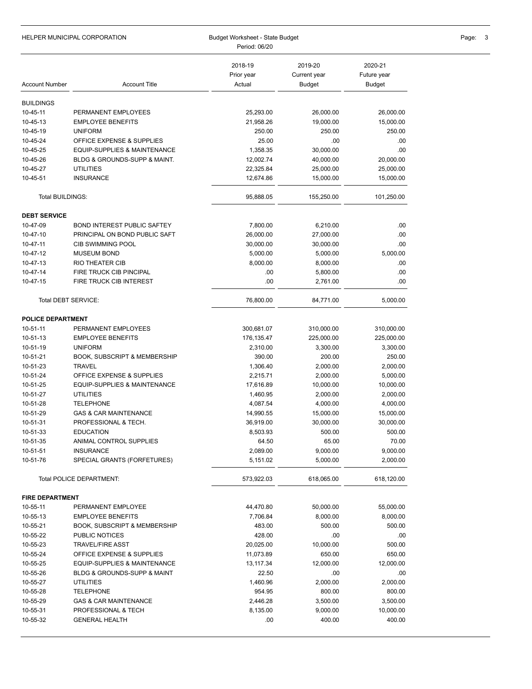|                          | HELPER MUNICIPAL CORPORATION<br>Budget Worksheet - State Budget<br>Period: 06/20 |                                 |                                          | Page: 3                          |  |
|--------------------------|----------------------------------------------------------------------------------|---------------------------------|------------------------------------------|----------------------------------|--|
| <b>Account Number</b>    | <b>Account Title</b>                                                             | 2018-19<br>Prior year<br>Actual | 2019-20<br>Current year<br><b>Budget</b> | 2020-21<br>Future year<br>Budget |  |
| <b>BUILDINGS</b>         |                                                                                  |                                 |                                          |                                  |  |
| 10-45-11                 | PERMANENT EMPLOYEES                                                              | 25,293.00                       | 26,000.00                                | 26,000.00                        |  |
| 10-45-13                 | <b>EMPLOYEE BENEFITS</b>                                                         | 21,958.26                       | 19,000.00                                | 15,000.00                        |  |
| 10-45-19                 | <b>UNIFORM</b>                                                                   | 250.00                          | 250.00                                   | 250.00                           |  |
| 10-45-24                 | OFFICE EXPENSE & SUPPLIES                                                        | 25.00                           | .00                                      | .00.                             |  |
| 10-45-25                 | EQUIP-SUPPLIES & MAINTENANCE                                                     | 1,358.35                        | 30,000.00                                | .00                              |  |
| 10-45-26                 | BLDG & GROUNDS-SUPP & MAINT.                                                     | 12,002.74                       | 40,000.00                                | 20,000.00                        |  |
| 10-45-27                 | <b>UTILITIES</b>                                                                 | 22,325.84                       | 25,000.00                                | 25,000.00                        |  |
| 10-45-51                 | <b>INSURANCE</b>                                                                 | 12,674.86                       | 15,000.00                                | 15,000.00                        |  |
| Total BUILDINGS:         |                                                                                  | 95,888.05                       | 155,250.00                               | 101,250.00                       |  |
| <b>DEBT SERVICE</b>      |                                                                                  |                                 |                                          |                                  |  |
| 10-47-09                 | <b>BOND INTEREST PUBLIC SAFTEY</b>                                               | 7,800.00                        | 6,210.00                                 | .00                              |  |
| 10-47-10                 | PRINCIPAL ON BOND PUBLIC SAFT                                                    | 26,000.00                       | 27,000.00                                | .00.                             |  |
| 10-47-11                 | <b>CIB SWIMMING POOL</b>                                                         | 30,000.00                       | 30,000.00                                | .00                              |  |
| 10-47-12                 | <b>MUSEUM BOND</b>                                                               | 5,000.00                        | 5,000.00                                 | 5,000.00                         |  |
| 10-47-13                 | RIO THEATER CIB                                                                  | 8,000.00                        | 8,000.00                                 | .00                              |  |
| 10-47-14                 | FIRE TRUCK CIB PINCIPAL                                                          | .00                             | 5,800.00                                 | .00.                             |  |
| 10-47-15                 | FIRE TRUCK CIB INTEREST                                                          | .00                             | 2,761.00                                 | .00.                             |  |
| Total DEBT SERVICE:      |                                                                                  | 76,800.00                       | 84,771.00                                | 5,000.00                         |  |
| <b>POLICE DEPARTMENT</b> |                                                                                  |                                 |                                          |                                  |  |
| 10-51-11                 | PERMANENT EMPLOYEES                                                              | 300,681.07                      | 310,000.00                               | 310,000.00                       |  |
| 10-51-13                 | <b>EMPLOYEE BENEFITS</b>                                                         | 176,135.47                      | 225,000.00                               | 225,000.00                       |  |
| 10-51-19                 | <b>UNIFORM</b>                                                                   | 2,310.00                        | 3,300.00                                 | 3,300.00                         |  |
| 10-51-21                 | <b>BOOK, SUBSCRIPT &amp; MEMBERSHIP</b>                                          | 390.00                          | 200.00                                   | 250.00                           |  |
| 10-51-23<br>10-51-24     | <b>TRAVEL</b><br>OFFICE EXPENSE & SUPPLIES                                       | 1,306.40<br>2,215.71            | 2,000.00<br>2,000.00                     | 2,000.00<br>5,000.00             |  |
| 10-51-25                 | EQUIP-SUPPLIES & MAINTENANCE                                                     | 17,616.89                       | 10,000.00                                | 10,000.00                        |  |
| 10-51-27                 | <b>UTILITIES</b>                                                                 | 1,460.95                        | 2,000.00                                 | 2,000.00                         |  |
| 10-51-28                 | <b>TELEPHONE</b>                                                                 | 4,087.54                        | 4,000.00                                 | 4,000.00                         |  |
| 10-51-29                 | <b>GAS &amp; CAR MAINTENANCE</b>                                                 | 14,990.55                       | 15,000.00                                | 15,000.00                        |  |
| 10-51-31                 | PROFESSIONAL & TECH.                                                             | 36,919.00                       | 30,000.00                                | 30,000.00                        |  |
| 10-51-33                 | <b>EDUCATION</b>                                                                 | 8,503.93                        | 500.00                                   | 500.00                           |  |
| 10-51-35                 | ANIMAL CONTROL SUPPLIES                                                          | 64.50                           | 65.00                                    | 70.00                            |  |
| 10-51-51                 | <b>INSURANCE</b>                                                                 | 2,089.00                        | 9,000.00                                 | 9,000.00                         |  |
| 10-51-76                 | SPECIAL GRANTS (FORFETURES)                                                      | 5,151.02                        | 5,000.00                                 | 2,000.00                         |  |
|                          | Total POLICE DEPARTMENT:                                                         | 573,922.03                      | 618,065.00                               | 618,120.00                       |  |
| <b>FIRE DEPARTMENT</b>   |                                                                                  |                                 |                                          |                                  |  |
| 10-55-11                 | PERMANENT EMPLOYEE                                                               | 44,470.80                       | 50,000.00                                | 55,000.00                        |  |
| 10-55-13                 | <b>EMPLOYEE BENEFITS</b>                                                         | 7,706.84                        | 8,000.00                                 | 8,000.00                         |  |
| 10-55-21                 | <b>BOOK, SUBSCRIPT &amp; MEMBERSHIP</b>                                          | 483.00                          | 500.00                                   | 500.00                           |  |
| 10-55-22                 | PUBLIC NOTICES                                                                   | 428.00                          | .00                                      | .00                              |  |
| 10-55-23                 | <b>TRAVEL/FIRE ASST</b>                                                          | 20,025.00                       | 10,000.00                                | 500.00                           |  |
| 10-55-24                 | OFFICE EXPENSE & SUPPLIES                                                        | 11,073.89                       | 650.00                                   | 650.00                           |  |
| 10-55-25                 | EQUIP-SUPPLIES & MAINTENANCE                                                     | 13, 117.34                      | 12,000.00                                | 12,000.00                        |  |
| 10-55-26                 | BLDG & GROUNDS-SUPP & MAINT                                                      | 22.50                           | .00                                      | .00.                             |  |
| 10-55-27                 | <b>UTILITIES</b>                                                                 | 1,460.96                        | 2,000.00                                 | 2,000.00                         |  |
| 10-55-28                 | <b>TELEPHONE</b>                                                                 | 954.95                          | 800.00                                   | 800.00                           |  |
| 10-55-29                 | <b>GAS &amp; CAR MAINTENANCE</b>                                                 | 2,446.28                        | 3,500.00                                 | 3,500.00                         |  |
| 10-55-31<br>10-55-32     | PROFESSIONAL & TECH<br><b>GENERAL HEALTH</b>                                     | 8,135.00<br>.00.                | 9,000.00<br>400.00                       | 10,000.00<br>400.00              |  |
|                          |                                                                                  |                                 |                                          |                                  |  |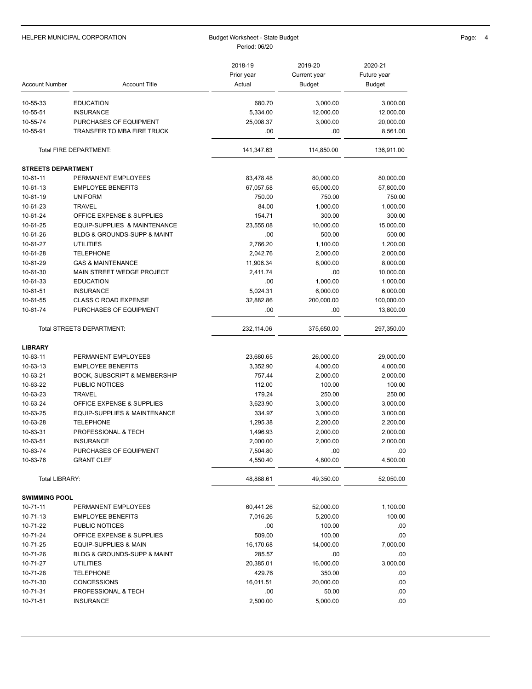|                           | HELPER MUNICIPAL CORPORATION            | Budget Worksheet - State Budget<br>Period: 06/20 | Page:                                    |                                  |  |
|---------------------------|-----------------------------------------|--------------------------------------------------|------------------------------------------|----------------------------------|--|
| <b>Account Number</b>     | <b>Account Title</b>                    | 2018-19<br>Prior year<br>Actual                  | 2019-20<br>Current year<br><b>Budget</b> | 2020-21<br>Future year<br>Budget |  |
| 10-55-33                  | <b>EDUCATION</b>                        | 680.70                                           | 3,000.00                                 | 3,000.00                         |  |
| 10-55-51                  | <b>INSURANCE</b>                        | 5,334.00                                         | 12,000.00                                | 12,000.00                        |  |
| 10-55-74                  | PURCHASES OF EQUIPMENT                  | 25,008.37                                        | 3,000.00                                 | 20,000.00                        |  |
| 10-55-91                  | TRANSFER TO MBA FIRE TRUCK              | .00                                              | .00                                      | 8,561.00                         |  |
|                           | Total FIRE DEPARTMENT:                  | 141,347.63                                       | 114,850.00                               | 136,911.00                       |  |
| <b>STREETS DEPARTMENT</b> |                                         |                                                  |                                          |                                  |  |
| 10-61-11                  | PERMANENT EMPLOYEES                     | 83,478.48                                        | 80,000.00                                | 80,000.00                        |  |
| 10-61-13                  | <b>EMPLOYEE BENEFITS</b>                | 67,057.58                                        | 65,000.00                                | 57,800.00                        |  |
| 10-61-19                  | <b>UNIFORM</b>                          | 750.00                                           | 750.00                                   | 750.00                           |  |
| 10-61-23                  | <b>TRAVEL</b>                           | 84.00                                            | 1,000.00                                 | 1,000.00                         |  |
| 10-61-24                  | OFFICE EXPENSE & SUPPLIES               | 154.71                                           | 300.00                                   | 300.00                           |  |
| 10-61-25                  | EQUIP-SUPPLIES & MAINTENANCE            | 23,555.08                                        | 10,000.00                                | 15,000.00                        |  |
| 10-61-26                  | BLDG & GROUNDS-SUPP & MAINT             | .00                                              | 500.00                                   | 500.00                           |  |
| 10-61-27                  | <b>UTILITIES</b>                        | 2,766.20                                         | 1,100.00                                 | 1,200.00                         |  |
| 10-61-28                  | <b>TELEPHONE</b>                        | 2,042.76                                         | 2,000.00                                 | 2,000.00                         |  |
| 10-61-29                  | <b>GAS &amp; MAINTENANCE</b>            | 11,906.34                                        | 8,000.00                                 | 8,000.00                         |  |
| 10-61-30                  | MAIN STREET WEDGE PROJECT               | 2,411.74                                         | .00                                      | 10,000.00                        |  |
| 10-61-33                  | <b>EDUCATION</b>                        | .00                                              | 1,000.00                                 | 1,000.00                         |  |
| 10-61-51                  | <b>INSURANCE</b>                        | 5,024.31                                         | 6,000.00                                 | 6,000.00                         |  |
| 10-61-55                  | <b>CLASS C ROAD EXPENSE</b>             | 32,882.86                                        | 200,000.00                               | 100,000.00                       |  |
| 10-61-74                  | PURCHASES OF EQUIPMENT                  | .00                                              | .00                                      | 13,800.00                        |  |
|                           | Total STREETS DEPARTMENT:               | 232,114.06                                       | 375,650.00                               | 297,350.00                       |  |
| <b>LIBRARY</b>            |                                         |                                                  |                                          |                                  |  |
| 10-63-11                  | PERMANENT EMPLOYEES                     | 23,680.65                                        | 26,000.00                                | 29,000.00                        |  |
| 10-63-13                  | <b>EMPLOYEE BENEFITS</b>                | 3,352.90                                         | 4,000.00                                 | 4,000.00                         |  |
| 10-63-21                  | <b>BOOK, SUBSCRIPT &amp; MEMBERSHIP</b> | 757.44                                           | 2,000.00                                 | 2,000.00                         |  |
| 10-63-22                  | PUBLIC NOTICES                          | 112.00                                           | 100.00                                   | 100.00                           |  |
| 10-63-23                  | <b>TRAVEL</b>                           | 179.24                                           | 250.00                                   | 250.00                           |  |
| 10-63-24                  | OFFICE EXPENSE & SUPPLIES               | 3,623.90                                         | 3,000.00                                 | 3,000.00                         |  |
| 10-63-25                  | EQUIP-SUPPLIES & MAINTENANCE            | 334.97                                           | 3,000.00                                 | 3,000.00                         |  |
| 10-63-28                  | TELEPHONE                               | 1,295.38                                         | 2,200.00                                 | 2,200.00                         |  |
| 10-63-31                  | PROFESSIONAL & TECH                     | 1,496.93                                         | 2,000.00                                 | 2,000.00                         |  |
| 10-63-51                  | <b>INSURANCE</b>                        | 2,000.00                                         | 2,000.00                                 | 2,000.00                         |  |
| 10-63-74                  | PURCHASES OF EQUIPMENT                  | 7,504.80                                         | .00                                      | .00.                             |  |
| 10-63-76                  | <b>GRANT CLEF</b>                       | 4,550.40                                         | 4,800.00                                 | 4,500.00                         |  |
| Total LIBRARY:            |                                         | 48,888.61                                        | 49,350.00                                | 52,050.00                        |  |
| <b>SWIMMING POOL</b>      |                                         |                                                  |                                          |                                  |  |
| 10-71-11                  | PERMANENT EMPLOYEES                     | 60,441.26                                        | 52,000.00                                | 1,100.00                         |  |
| 10-71-13                  | <b>EMPLOYEE BENEFITS</b>                | 7,016.26                                         | 5,200.00                                 | 100.00                           |  |
| 10-71-22                  | PUBLIC NOTICES                          | .00.                                             | 100.00                                   | .00.                             |  |
| 10-71-24                  | OFFICE EXPENSE & SUPPLIES               | 509.00                                           | 100.00                                   | .00.                             |  |
| 10-71-25                  | EQUIP-SUPPLIES & MAIN                   | 16,170.68                                        | 14,000.00                                | 7,000.00                         |  |
| 10-71-26                  | BLDG & GROUNDS-SUPP & MAINT             | 285.57                                           | .00                                      | .00.                             |  |
| 10-71-27                  | <b>UTILITIES</b>                        | 20,385.01                                        | 16,000.00                                | 3,000.00                         |  |
| 10-71-28                  | <b>TELEPHONE</b>                        | 429.76                                           | 350.00                                   | .00                              |  |
| 10-71-30                  | <b>CONCESSIONS</b>                      | 16,011.51                                        | 20,000.00                                | .00                              |  |
| 10-71-31                  | PROFESSIONAL & TECH                     | .00                                              | 50.00                                    | .00.                             |  |
| 10-71-51                  | <b>INSURANCE</b>                        | 2,500.00                                         | 5,000.00                                 | .00.                             |  |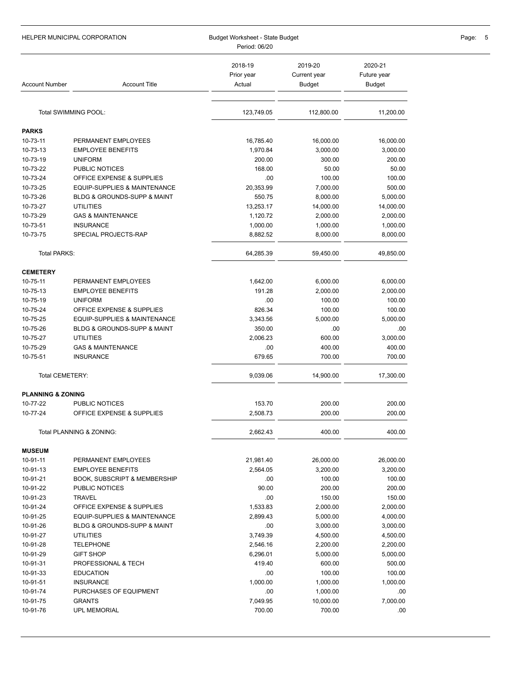|                              | HELPER MUNICIPAL CORPORATION               | Budget Worksheet - State Budget<br>Period: 06/20 |                                   |                                  | Page:<br>5 |
|------------------------------|--------------------------------------------|--------------------------------------------------|-----------------------------------|----------------------------------|------------|
| <b>Account Number</b>        | <b>Account Title</b>                       | 2018-19<br>Prior year<br>Actual                  | 2019-20<br>Current year<br>Budget | 2020-21<br>Future year<br>Budget |            |
|                              | Total SWIMMING POOL:                       | 123,749.05                                       | 112,800.00                        | 11,200.00                        |            |
|                              |                                            |                                                  |                                   |                                  |            |
| PARKS                        |                                            |                                                  |                                   |                                  |            |
| 10-73-11                     | PERMANENT EMPLOYEES                        | 16,785.40                                        | 16,000.00                         | 16,000.00                        |            |
| 10-73-13<br>10-73-19         | <b>EMPLOYEE BENEFITS</b><br><b>UNIFORM</b> | 1,970.84<br>200.00                               | 3,000.00                          | 3,000.00<br>200.00               |            |
| 10-73-22                     | PUBLIC NOTICES                             | 168.00                                           | 300.00<br>50.00                   | 50.00                            |            |
| 10-73-24                     | OFFICE EXPENSE & SUPPLIES                  | .00                                              | 100.00                            | 100.00                           |            |
| 10-73-25                     | EQUIP-SUPPLIES & MAINTENANCE               | 20,353.99                                        | 7,000.00                          | 500.00                           |            |
| 10-73-26                     | <b>BLDG &amp; GROUNDS-SUPP &amp; MAINT</b> | 550.75                                           | 8,000.00                          | 5,000.00                         |            |
| 10-73-27                     | <b>UTILITIES</b>                           | 13,253.17                                        | 14,000.00                         | 14,000.00                        |            |
| 10-73-29                     | <b>GAS &amp; MAINTENANCE</b>               | 1,120.72                                         | 2,000.00                          | 2,000.00                         |            |
| 10-73-51                     | <b>INSURANCE</b>                           | 1,000.00                                         | 1,000.00                          | 1,000.00                         |            |
| 10-73-75                     | SPECIAL PROJECTS-RAP                       | 8,882.52                                         | 8,000.00                          | 8,000.00                         |            |
| Total PARKS:                 |                                            | 64,285.39                                        | 59,450.00                         | 49,850.00                        |            |
| <b>CEMETERY</b>              |                                            |                                                  |                                   |                                  |            |
| 10-75-11                     | PERMANENT EMPLOYEES                        | 1,642.00                                         | 6,000.00                          | 6,000.00                         |            |
| 10-75-13                     | <b>EMPLOYEE BENEFITS</b>                   | 191.28                                           | 2,000.00                          | 2,000.00                         |            |
| 10-75-19                     | <b>UNIFORM</b>                             | .00                                              | 100.00                            | 100.00                           |            |
| 10-75-24                     | OFFICE EXPENSE & SUPPLIES                  | 826.34                                           | 100.00                            | 100.00                           |            |
| 10-75-25                     | EQUIP-SUPPLIES & MAINTENANCE               | 3,343.56                                         | 5,000.00                          | 5,000.00                         |            |
| 10-75-26                     | BLDG & GROUNDS-SUPP & MAINT                | 350.00                                           | .00                               | .00                              |            |
| 10-75-27                     | UTILITIES                                  | 2,006.23                                         | 600.00                            | 3,000.00                         |            |
| 10-75-29                     | <b>GAS &amp; MAINTENANCE</b>               | .00                                              | 400.00                            | 400.00                           |            |
| 10-75-51                     | <b>INSURANCE</b>                           | 679.65                                           | 700.00                            | 700.00                           |            |
| Total CEMETERY:              |                                            | 9,039.06                                         | 14,900.00                         | 17,300.00                        |            |
| <b>PLANNING &amp; ZONING</b> |                                            |                                                  |                                   |                                  |            |
| 10-77-22                     | PUBLIC NOTICES                             | 153.70                                           | 200.00                            | 200.00                           |            |
| 10-77-24                     | OFFICE EXPENSE & SUPPLIES                  | 2,508.73                                         | 200.00                            | 200.00                           |            |
|                              | Total PLANNING & ZONING:                   | 2,662.43                                         | 400.00                            | 400.00                           |            |
| <b>MUSEUM</b>                |                                            |                                                  |                                   |                                  |            |
| 10-91-11                     | PERMANENT EMPLOYEES                        | 21,981.40                                        | 26,000.00                         | 26,000.00                        |            |
| 10-91-13                     | <b>EMPLOYEE BENEFITS</b>                   | 2,564.05                                         | 3,200.00                          | 3,200.00                         |            |
| 10-91-21                     | <b>BOOK, SUBSCRIPT &amp; MEMBERSHIP</b>    | .00                                              | 100.00                            | 100.00                           |            |
| 10-91-22                     | PUBLIC NOTICES                             | 90.00                                            | 200.00                            | 200.00                           |            |
| 10-91-23                     | <b>TRAVEL</b>                              | .00                                              | 150.00                            | 150.00                           |            |
| 10-91-24                     | OFFICE EXPENSE & SUPPLIES                  | 1,533.83                                         | 2,000.00                          | 2,000.00                         |            |
| 10-91-25                     | EQUIP-SUPPLIES & MAINTENANCE               | 2,899.43                                         | 5,000.00                          | 4,000.00                         |            |
| 10-91-26                     | BLDG & GROUNDS-SUPP & MAINT                | .00                                              | 3,000.00                          | 3,000.00                         |            |
| 10-91-27                     | <b>UTILITIES</b>                           | 3,749.39                                         | 4,500.00                          | 4,500.00                         |            |
| 10-91-28                     | <b>TELEPHONE</b>                           | 2,546.16                                         | 2,200.00                          | 2,200.00                         |            |
| 10-91-29<br>10-91-31         | <b>GIFT SHOP</b><br>PROFESSIONAL & TECH    | 6,296.01<br>419.40                               | 5,000.00<br>600.00                | 5,000.00<br>500.00               |            |
| 10-91-33                     | <b>EDUCATION</b>                           | .00                                              | 100.00                            | 100.00                           |            |
| 10-91-51                     | <b>INSURANCE</b>                           | 1,000.00                                         | 1,000.00                          | 1,000.00                         |            |
| 10-91-74                     | PURCHASES OF EQUIPMENT                     | .00                                              | 1,000.00                          | .00                              |            |
| 10-91-75                     | <b>GRANTS</b>                              | 7,049.95                                         | 10,000.00                         | 7,000.00                         |            |
| 10-91-76                     | <b>UPL MEMORIAL</b>                        | 700.00                                           | 700.00                            | .00                              |            |
|                              |                                            |                                                  |                                   |                                  |            |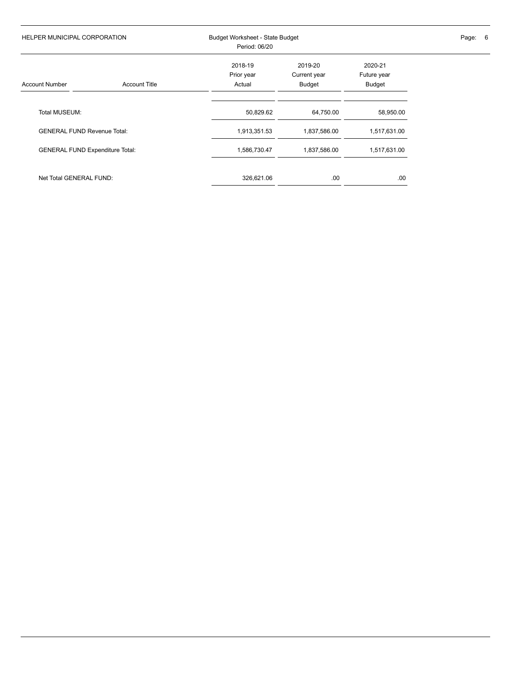| HELPER MUNICIPAL CORPORATION           |                      | Period: 06/20                   | Budget Worksheet - State Budget   |                                  |  |  |
|----------------------------------------|----------------------|---------------------------------|-----------------------------------|----------------------------------|--|--|
| <b>Account Number</b>                  | <b>Account Title</b> | 2018-19<br>Prior year<br>Actual | 2019-20<br>Current year<br>Budget | 2020-21<br>Future year<br>Budget |  |  |
| Total MUSEUM:                          |                      | 50,829.62                       | 64,750.00                         | 58,950.00                        |  |  |
| <b>GENERAL FUND Revenue Total:</b>     |                      | 1,913,351.53                    | 1,837,586.00                      | 1,517,631.00                     |  |  |
| <b>GENERAL FUND Expenditure Total:</b> |                      | 1,586,730.47                    | 1,837,586.00                      | 1,517,631.00                     |  |  |
| Net Total GENERAL FUND:                |                      | 326,621.06                      | .00                               | .00.                             |  |  |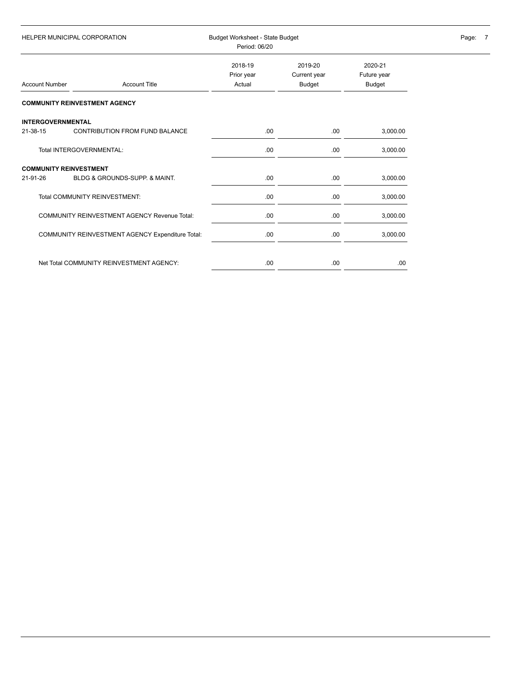| <b>HELPER MUNICIPAL CORPORATION</b> |                                                     | Period: 06/20                   | Budget Worksheet - State Budget   |                                  |  |  |
|-------------------------------------|-----------------------------------------------------|---------------------------------|-----------------------------------|----------------------------------|--|--|
| <b>Account Number</b>               | <b>Account Title</b>                                | 2018-19<br>Prior year<br>Actual | 2019-20<br>Current year<br>Budget | 2020-21<br>Future year<br>Budget |  |  |
|                                     | <b>COMMUNITY REINVESTMENT AGENCY</b>                |                                 |                                   |                                  |  |  |
| <b>INTERGOVERNMENTAL</b>            |                                                     |                                 |                                   |                                  |  |  |
| 21-38-15                            | <b>CONTRIBUTION FROM FUND BALANCE</b>               | .00.                            | .00                               | 3,000.00                         |  |  |
|                                     | Total INTERGOVERNMENTAL:                            | .00                             | .00                               | 3,000.00                         |  |  |
| <b>COMMUNITY REINVESTMENT</b>       |                                                     |                                 |                                   |                                  |  |  |
| 21-91-26                            | BLDG & GROUNDS-SUPP. & MAINT.                       | .00.                            | .00                               | 3,000.00                         |  |  |
|                                     | <b>Total COMMUNITY REINVESTMENT:</b>                | .00                             | .00                               | 3,000.00                         |  |  |
|                                     | <b>COMMUNITY REINVESTMENT AGENCY Revenue Total:</b> | .00                             | .00                               | 3,000.00                         |  |  |
|                                     | COMMUNITY REINVESTMENT AGENCY Expenditure Total:    | .00                             | .00                               | 3,000.00                         |  |  |
|                                     |                                                     |                                 |                                   |                                  |  |  |
|                                     | Net Total COMMUNITY REINVESTMENT AGENCY:            | .00                             | .00                               | .00.                             |  |  |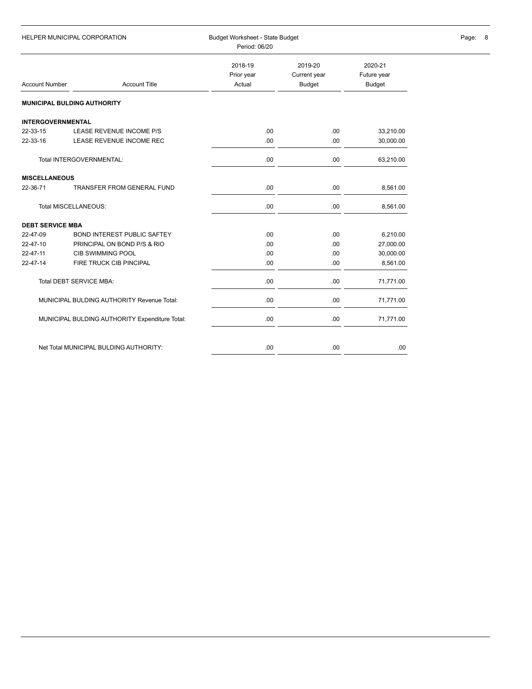| HELPER MUNICIPAL CORPORATION |                                                | Budget Worksheet - State Budget<br>Period: 06/20 | Page: 8                           |                                  |  |
|------------------------------|------------------------------------------------|--------------------------------------------------|-----------------------------------|----------------------------------|--|
| <b>Account Number</b>        | <b>Account Title</b>                           | 2018-19<br>Prior year<br>Actual                  | 2019-20<br>Current year<br>Budget | 2020-21<br>Future year<br>Budget |  |
|                              | <b>MUNICIPAL BULDING AUTHORITY</b>             |                                                  |                                   |                                  |  |
| <b>INTERGOVERNMENTAL</b>     |                                                |                                                  |                                   |                                  |  |
| 22-33-15                     | LEASE REVENUE INCOME P/S                       | .00.                                             | .00                               | 33,210.00                        |  |
| 22-33-16                     | LEASE REVENUE INCOME REC                       | .00.                                             | .00                               | 30,000.00                        |  |
|                              | Total INTERGOVERNMENTAL:                       | .00                                              | .00                               | 63,210.00                        |  |
| <b>MISCELLANEOUS</b>         |                                                |                                                  |                                   |                                  |  |
| 22-36-71                     | <b>TRANSFER FROM GENERAL FUND</b>              | .00.                                             | .00                               | 8,561.00                         |  |
| Total MISCELLANEOUS:         |                                                | .00                                              | .00                               | 8,561.00                         |  |
| <b>DEBT SERVICE MBA</b>      |                                                |                                                  |                                   |                                  |  |
| 22-47-09                     | <b>BOND INTEREST PUBLIC SAFTEY</b>             | .00.                                             | .00                               | 6,210.00                         |  |
| 22-47-10                     | PRINCIPAL ON BOND P/S & RIO                    | .00                                              | .00                               | 27,000.00                        |  |
| 22-47-11                     | CIB SWIMMING POOL                              | .00                                              | .00                               | 30,000.00                        |  |
| 22-47-14                     | FIRE TRUCK CIB PINCIPAL                        | .00                                              | .00                               | 8,561.00                         |  |
|                              | Total DEBT SERVICE MBA:                        | .00                                              | .00                               | 71,771.00                        |  |
|                              | MUNICIPAL BULDING AUTHORITY Revenue Total:     | .00                                              | .00                               | 71,771.00                        |  |
|                              | MUNICIPAL BULDING AUTHORITY Expenditure Total: | .00                                              | .00                               | 71,771.00                        |  |
|                              | Net Total MUNICIPAL BULDING AUTHORITY:         | .00                                              | .00                               | .00.                             |  |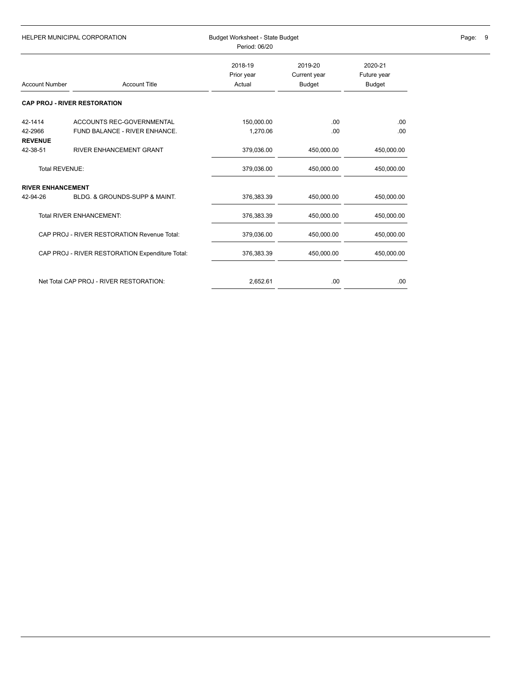| <b>HELPER MUNICIPAL CORPORATION</b> |                                                 | Budget Worksheet - State Budget<br>Period: 06/20 | Page: 9                           |                                  |  |
|-------------------------------------|-------------------------------------------------|--------------------------------------------------|-----------------------------------|----------------------------------|--|
| <b>Account Number</b>               | <b>Account Title</b>                            | 2018-19<br>Prior year<br>Actual                  | 2019-20<br>Current year<br>Budget | 2020-21<br>Future year<br>Budget |  |
|                                     | <b>CAP PROJ - RIVER RESTORATION</b>             |                                                  |                                   |                                  |  |
| 42-1414                             | ACCOUNTS REC-GOVERNMENTAL                       | 150,000.00                                       | .00                               | .00.                             |  |
| 42-2966<br><b>REVENUE</b>           | FUND BALANCE - RIVER ENHANCE.                   | 1,270.06                                         | .00                               | .00                              |  |
| 42-38-51                            | RIVER ENHANCEMENT GRANT                         | 379,036.00                                       | 450,000.00                        | 450,000.00                       |  |
| <b>Total REVENUE:</b>               |                                                 | 379,036.00                                       | 450,000.00                        | 450,000.00                       |  |
| <b>RIVER ENHANCEMENT</b>            |                                                 |                                                  |                                   |                                  |  |
| 42-94-26                            | BLDG, & GROUNDS-SUPP & MAINT.                   | 376,383.39                                       | 450,000.00                        | 450,000.00                       |  |
|                                     | <b>Total RIVER ENHANCEMENT:</b>                 | 376,383.39                                       | 450,000.00                        | 450,000.00                       |  |
|                                     | CAP PROJ - RIVER RESTORATION Revenue Total:     | 379,036.00                                       | 450,000.00                        | 450,000.00                       |  |
|                                     | CAP PROJ - RIVER RESTORATION Expenditure Total: | 376,383.39                                       | 450,000.00                        | 450,000.00                       |  |
|                                     | Net Total CAP PROJ - RIVER RESTORATION:         | 2,652.61                                         | .00                               | .00                              |  |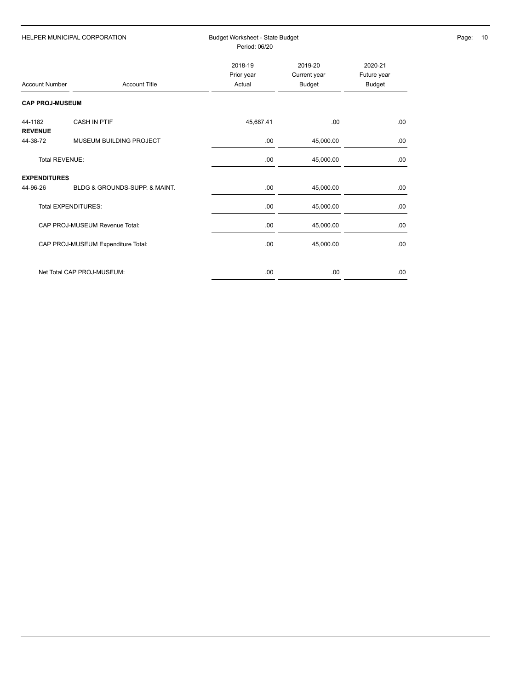| HELPER MUNICIPAL CORPORATION |                                    | Period: 06/20                   | Budget Worksheet - State Budget   |                                  |  |  |
|------------------------------|------------------------------------|---------------------------------|-----------------------------------|----------------------------------|--|--|
| <b>Account Number</b>        | <b>Account Title</b>               | 2018-19<br>Prior year<br>Actual | 2019-20<br>Current year<br>Budget | 2020-21<br>Future year<br>Budget |  |  |
| <b>CAP PROJ-MUSEUM</b>       |                                    |                                 |                                   |                                  |  |  |
| 44-1182<br><b>REVENUE</b>    | <b>CASH IN PTIF</b>                | 45,687.41                       | .00.                              | .00.                             |  |  |
| 44-38-72                     | MUSEUM BUILDING PROJECT            | .00                             | 45,000.00                         | .00                              |  |  |
| Total REVENUE:               |                                    | .00                             | 45,000.00                         | .00.                             |  |  |
| <b>EXPENDITURES</b>          |                                    |                                 |                                   |                                  |  |  |
| 44-96-26                     | BLDG & GROUNDS-SUPP. & MAINT.      | .00                             | 45,000.00                         | .00                              |  |  |
|                              | <b>Total EXPENDITURES:</b>         | .00                             | 45,000.00                         | .00.                             |  |  |
|                              | CAP PROJ-MUSEUM Revenue Total:     | .00                             | 45,000.00                         | .00                              |  |  |
|                              | CAP PROJ-MUSEUM Expenditure Total: | .00                             | 45,000.00                         | .00.                             |  |  |
|                              | Net Total CAP PROJ-MUSEUM:         | .00                             | .00                               | .00.                             |  |  |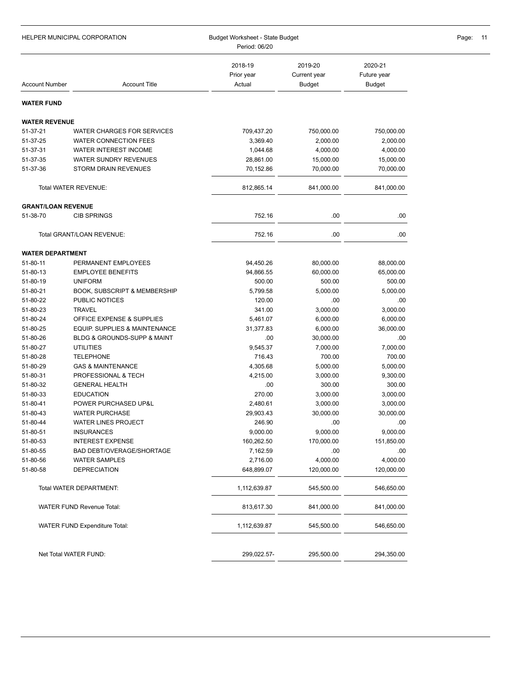| HELPER MUNICIPAL CORPORATION |                                          | Budget Worksheet - State Budget<br>Period: 06/20 | Page:<br>-11                      |                                         |  |
|------------------------------|------------------------------------------|--------------------------------------------------|-----------------------------------|-----------------------------------------|--|
| <b>Account Number</b>        | <b>Account Title</b>                     | 2018-19<br>Prior year<br>Actual                  | 2019-20<br>Current year<br>Budget | 2020-21<br>Future year<br><b>Budget</b> |  |
| WATER FUND                   |                                          |                                                  |                                   |                                         |  |
| <b>WATER REVENUE</b>         |                                          |                                                  |                                   |                                         |  |
| 51-37-21                     | WATER CHARGES FOR SERVICES               | 709,437.20                                       | 750,000.00                        | 750,000.00                              |  |
| 51-37-25                     | <b>WATER CONNECTION FEES</b>             | 3,369.40                                         | 2,000.00                          | 2,000.00                                |  |
| 51-37-31                     | WATER INTEREST INCOME                    | 1,044.68                                         | 4,000.00                          | 4,000.00                                |  |
| 51-37-35                     | WATER SUNDRY REVENUES                    | 28,861.00                                        | 15,000.00                         | 15,000.00                               |  |
| 51-37-36                     | STORM DRAIN REVENUES                     | 70,152.86                                        | 70,000.00                         | 70,000.00                               |  |
|                              | Total WATER REVENUE:                     | 812,865.14                                       | 841,000.00                        | 841,000.00                              |  |
| <b>GRANT/LOAN REVENUE</b>    |                                          |                                                  |                                   |                                         |  |
| 51-38-70                     | <b>CIB SPRINGS</b>                       | 752.16                                           | .00                               | .00                                     |  |
|                              | Total GRANT/LOAN REVENUE:                | 752.16                                           | .00                               | .00                                     |  |
| <b>WATER DEPARTMENT</b>      |                                          |                                                  |                                   |                                         |  |
| 51-80-11                     | PERMANENT EMPLOYEES                      | 94,450.26                                        | 80,000.00                         | 88,000.00                               |  |
| 51-80-13                     | <b>EMPLOYEE BENEFITS</b>                 | 94,866.55                                        | 60,000.00                         | 65,000.00                               |  |
| 51-80-19                     | <b>UNIFORM</b>                           | 500.00                                           | 500.00                            | 500.00                                  |  |
| 51-80-21                     | <b>BOOK, SUBSCRIPT &amp; MEMBERSHIP</b>  | 5,799.58                                         | 5,000.00                          | 5,000.00                                |  |
| 51-80-22                     | PUBLIC NOTICES                           | 120.00                                           | .00                               | .00                                     |  |
| 51-80-23                     | <b>TRAVEL</b>                            | 341.00                                           | 3,000.00                          | 3,000.00                                |  |
| 51-80-24                     | OFFICE EXPENSE & SUPPLIES                | 5,461.07                                         | 6,000.00                          | 6,000.00                                |  |
| 51-80-25                     | EQUIP. SUPPLIES & MAINTENANCE            | 31,377.83                                        | 6,000.00                          | 36,000.00                               |  |
| 51-80-26                     | BLDG & GROUNDS-SUPP & MAINT              | .00                                              | 30,000.00                         | .00                                     |  |
| 51-80-27                     | <b>UTILITIES</b>                         | 9,545.37                                         | 7,000.00                          | 7,000.00                                |  |
| 51-80-28                     | <b>TELEPHONE</b>                         | 716.43                                           | 700.00                            | 700.00                                  |  |
| 51-80-29                     | <b>GAS &amp; MAINTENANCE</b>             | 4,305.68                                         | 5,000.00                          | 5,000.00                                |  |
| 51-80-31                     | PROFESSIONAL & TECH                      | 4,215.00                                         | 3,000.00                          | 9,300.00                                |  |
| 51-80-32                     | <b>GENERAL HEALTH</b>                    | .00                                              | 300.00                            | 300.00                                  |  |
| 51-80-33<br>51-80-41         | <b>EDUCATION</b><br>POWER PURCHASED UP&L | 270.00<br>2,480.61                               | 3,000.00<br>3,000.00              | 3,000.00<br>3,000.00                    |  |
| 51-80-43                     | <b>WATER PURCHASE</b>                    | 29,903.43                                        | 30,000.00                         | 30,000.00                               |  |
| 51-80-44                     | <b>WATER LINES PROJECT</b>               | 246.90                                           | .00                               | .00                                     |  |
| 51-80-51                     | <b>INSURANCES</b>                        | 9,000.00                                         | 9,000.00                          | 9,000.00                                |  |
| 51-80-53                     | <b>INTEREST EXPENSE</b>                  | 160,262.50                                       | 170,000.00                        | 151,850.00                              |  |
| 51-80-55                     | <b>BAD DEBT/OVERAGE/SHORTAGE</b>         | 7,162.59                                         | .00                               | .00                                     |  |
| 51-80-56                     | <b>WATER SAMPLES</b>                     | 2,716.00                                         | 4,000.00                          | 4,000.00                                |  |
| 51-80-58                     | <b>DEPRECIATION</b>                      | 648,899.07                                       | 120,000.00                        | 120,000.00                              |  |
|                              | Total WATER DEPARTMENT:                  | 1,112,639.87                                     | 545,500.00                        | 546,650.00                              |  |
|                              | <b>WATER FUND Revenue Total:</b>         | 813,617.30                                       | 841,000.00                        | 841,000.00                              |  |
|                              | <b>WATER FUND Expenditure Total:</b>     | 1,112,639.87                                     | 545,500.00                        | 546,650.00                              |  |
|                              | Net Total WATER FUND:                    | 299,022.57-                                      | 295,500.00                        | 294,350.00                              |  |
|                              |                                          |                                                  |                                   |                                         |  |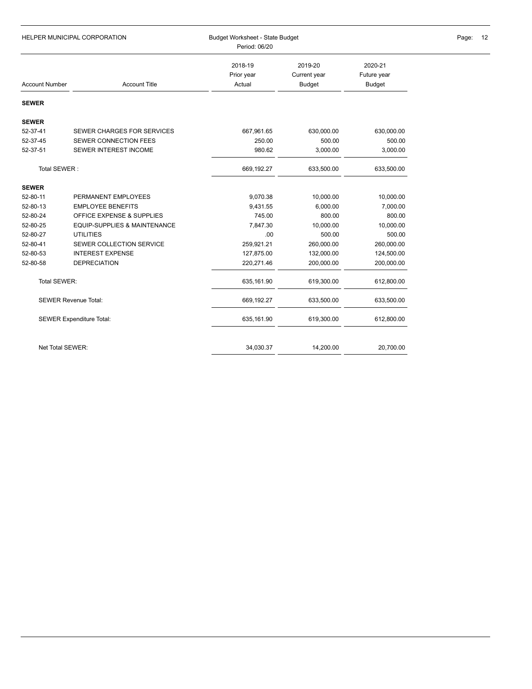| HELPER MUNICIPAL CORPORATION |                                 | Budget Worksheet - State Budget<br>Period: 06/20 |                                   | Page:<br>12                      |  |
|------------------------------|---------------------------------|--------------------------------------------------|-----------------------------------|----------------------------------|--|
| <b>Account Number</b>        | <b>Account Title</b>            | 2018-19<br>Prior year<br>Actual                  | 2019-20<br>Current year<br>Budget | 2020-21<br>Future year<br>Budget |  |
| <b>SEWER</b>                 |                                 |                                                  |                                   |                                  |  |
| <b>SEWER</b>                 |                                 |                                                  |                                   |                                  |  |
| 52-37-41                     | SEWER CHARGES FOR SERVICES      | 667,961.65                                       | 630,000.00                        | 630,000.00                       |  |
| 52-37-45                     | SEWER CONNECTION FEES           | 250.00                                           | 500.00                            | 500.00                           |  |
| 52-37-51                     | SEWER INTEREST INCOME           | 980.62                                           | 3,000.00                          | 3,000.00                         |  |
| Total SEWER:                 |                                 | 669,192.27                                       | 633,500.00                        | 633,500.00                       |  |
| <b>SEWER</b>                 |                                 |                                                  |                                   |                                  |  |
| 52-80-11                     | PERMANENT EMPLOYEES             | 9,070.38                                         | 10,000.00                         | 10,000.00                        |  |
| 52-80-13                     | <b>EMPLOYEE BENEFITS</b>        | 9,431.55                                         | 6,000.00                          | 7,000.00                         |  |
| 52-80-24                     | OFFICE EXPENSE & SUPPLIES       | 745.00                                           | 800.00                            | 800.00                           |  |
| 52-80-25                     | EQUIP-SUPPLIES & MAINTENANCE    | 7,847.30                                         | 10,000.00                         | 10,000.00                        |  |
| 52-80-27                     | <b>UTILITIES</b>                | .00                                              | 500.00                            | 500.00                           |  |
| 52-80-41                     | SEWER COLLECTION SERVICE        | 259,921.21                                       | 260,000.00                        | 260,000.00                       |  |
| 52-80-53                     | <b>INTEREST EXPENSE</b>         | 127,875.00                                       | 132,000.00                        | 124,500.00                       |  |
| 52-80-58                     | <b>DEPRECIATION</b>             | 220,271.46                                       | 200,000.00                        | 200,000.00                       |  |
| Total SEWER:                 |                                 | 635,161.90                                       | 619,300.00                        | 612,800.00                       |  |
|                              | <b>SEWER Revenue Total:</b>     | 669,192.27                                       | 633,500.00                        | 633,500.00                       |  |
|                              | <b>SEWER Expenditure Total:</b> | 635,161.90                                       | 619,300.00                        | 612,800.00                       |  |
| Net Total SEWER:             |                                 | 34,030.37                                        | 14,200.00                         | 20,700.00                        |  |
|                              |                                 |                                                  |                                   |                                  |  |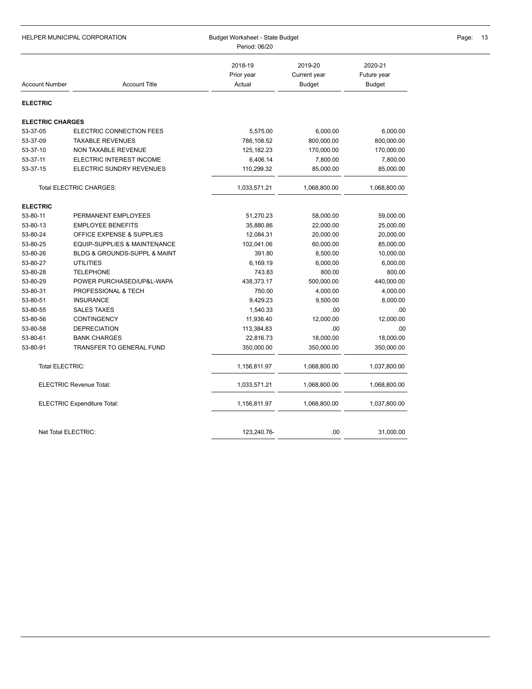| HELPER MUNICIPAL CORPORATION   |                                 | Budget Worksheet - State Budget<br>Period: 06/20 |                                   |                                         | Page:<br>13 |
|--------------------------------|---------------------------------|--------------------------------------------------|-----------------------------------|-----------------------------------------|-------------|
| <b>Account Number</b>          | <b>Account Title</b>            | 2018-19<br>Prior year<br>Actual                  | 2019-20<br>Current year<br>Budget | 2020-21<br>Future year<br><b>Budget</b> |             |
| <b>ELECTRIC</b>                |                                 |                                                  |                                   |                                         |             |
| <b>ELECTRIC CHARGES</b>        |                                 |                                                  |                                   |                                         |             |
| 53-37-05                       | ELECTRIC CONNECTION FEES        | 5,575.00                                         | 6,000.00                          | 6,000.00                                |             |
| 53-37-09                       | <b>TAXABLE REVENUES</b>         | 786,108.52                                       | 800,000.00                        | 800,000.00                              |             |
| 53-37-10                       | NON TAXABLE REVENUE             | 125,182.23                                       | 170,000.00                        | 170,000.00                              |             |
| 53-37-11                       | ELECTRIC INTEREST INCOME        | 6,406.14                                         | 7,800.00                          | 7,800.00                                |             |
| 53-37-15                       | ELECTRIC SUNDRY REVENUES        | 110,299.32                                       | 85,000.00                         | 85,000.00                               |             |
| <b>Total ELECTRIC CHARGES:</b> |                                 | 1,033,571.21                                     | 1,068,800.00                      | 1,068,800.00                            |             |
| <b>ELECTRIC</b>                |                                 |                                                  |                                   |                                         |             |
| 53-80-11                       | PERMANENT EMPLOYEES             | 51,270.23                                        | 58,000.00                         | 59,000.00                               |             |
| 53-80-13                       | <b>EMPLOYEE BENEFITS</b>        | 35,880.86                                        | 22,000.00                         | 25,000.00                               |             |
| 53-80-24                       | OFFICE EXPENSE & SUPPLIES       | 12,084.31                                        | 20,000.00                         | 20,000.00                               |             |
| 53-80-25                       | EQUIP-SUPPLIES & MAINTENANCE    | 102,041.06                                       | 60,000.00                         | 85,000.00                               |             |
| 53-80-26                       | BLDG & GROUNDS-SUPPL & MAINT    | 391.80                                           | 8,500.00                          | 10,000.00                               |             |
| 53-80-27                       | <b>UTILITIES</b>                | 6,169.19                                         | 6,000.00                          | 6,000.00                                |             |
| 53-80-28                       | <b>TELEPHONE</b>                | 743.83                                           | 800.00                            | 800.00                                  |             |
| 53-80-29                       | POWER PURCHASED/UP&L-WAPA       | 438,373.17                                       | 500,000.00                        | 440,000.00                              |             |
| 53-80-31                       | <b>PROFESSIONAL &amp; TECH</b>  | 750.00                                           | 4,000.00                          | 4,000.00                                |             |
| 53-80-51                       | <b>INSURANCE</b>                | 9,429.23                                         | 9,500.00                          | 8,000.00                                |             |
| 53-80-55                       | <b>SALES TAXES</b>              | 1,540.33                                         | .00                               | .00                                     |             |
| 53-80-56                       | <b>CONTINGENCY</b>              | 11,936.40                                        | 12,000.00                         | 12,000.00                               |             |
| 53-80-58                       | <b>DEPRECIATION</b>             | 113,384.83                                       | .00                               | .00                                     |             |
| 53-80-61                       | <b>BANK CHARGES</b>             | 22,816.73                                        | 18,000.00                         | 18,000.00                               |             |
| 53-80-91                       | <b>TRANSFER TO GENERAL FUND</b> | 350,000.00                                       | 350,000.00                        | 350,000.00                              |             |
| <b>Total ELECTRIC:</b>         |                                 | 1,156,811.97                                     | 1,068,800.00                      | 1,037,800.00                            |             |
| <b>ELECTRIC Revenue Total:</b> |                                 | 1,033,571.21                                     | 1,068,800.00                      | 1,068,800.00                            |             |
| ELECTRIC Expenditure Total:    |                                 | 1,156,811.97                                     | 1,068,800.00                      | 1,037,800.00                            |             |
| Net Total ELECTRIC:            |                                 | 123,240.76-                                      | .00                               | 31,000.00                               |             |